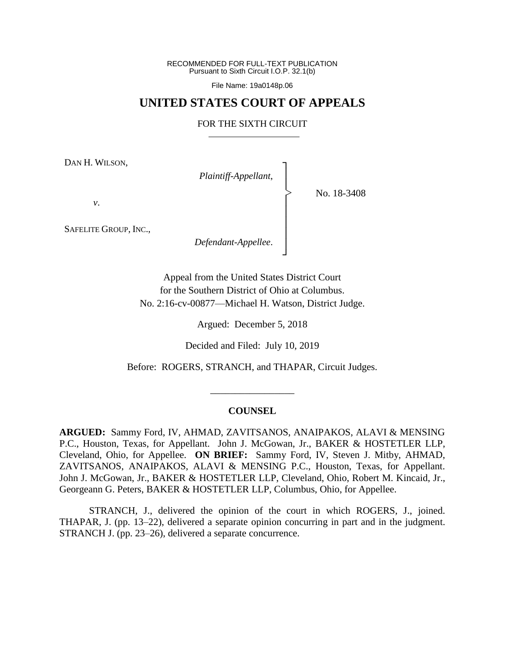RECOMMENDED FOR FULL-TEXT PUBLICATION Pursuant to Sixth Circuit I.O.P. 32.1(b)

File Name: 19a0148p.06

## **UNITED STATES COURT OF APPEALS**

## FOR THE SIXTH CIRCUIT

┐ │ │ │ │ │ │ │ ┘

|<br>|<br>|

DAN H. WILSON,

*Plaintiff-Appellant*,

No. 18-3408

*v*.

SAFELITE GROUP, INC.,

*Defendant-Appellee*.

Appeal from the United States District Court for the Southern District of Ohio at Columbus. No. 2:16-cv-00877—Michael H. Watson, District Judge.

Argued: December 5, 2018

Decided and Filed: July 10, 2019

Before: ROGERS, STRANCH, and THAPAR, Circuit Judges.

### **COUNSEL**

\_\_\_\_\_\_\_\_\_\_\_\_\_\_\_\_\_

**ARGUED:** Sammy Ford, IV, AHMAD, ZAVITSANOS, ANAIPAKOS, ALAVI & MENSING P.C., Houston, Texas, for Appellant. John J. McGowan, Jr., BAKER & HOSTETLER LLP, Cleveland, Ohio, for Appellee. **ON BRIEF:** Sammy Ford, IV, Steven J. Mitby, AHMAD, ZAVITSANOS, ANAIPAKOS, ALAVI & MENSING P.C., Houston, Texas, for Appellant. John J. McGowan, Jr., BAKER & HOSTETLER LLP, Cleveland, Ohio, Robert M. Kincaid, Jr., Georgeann G. Peters, BAKER & HOSTETLER LLP, Columbus, Ohio, for Appellee.

STRANCH, J., delivered the opinion of the court in which ROGERS, J., joined. THAPAR, J. (pp. 13–22), delivered a separate opinion concurring in part and in the judgment. STRANCH J. (pp. 23–26), delivered a separate concurrence.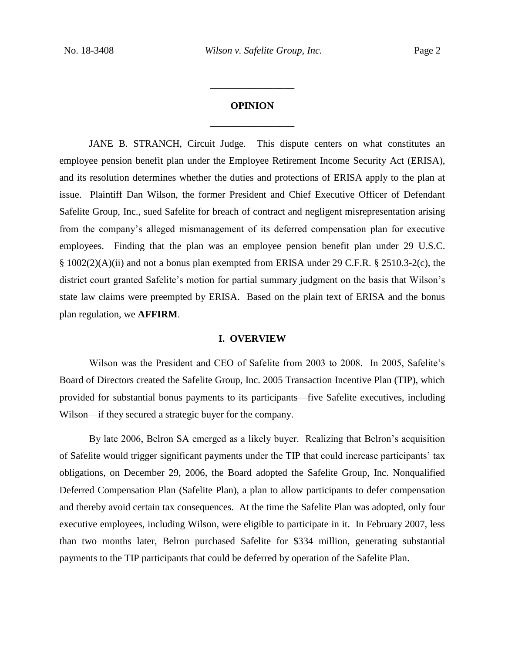# **OPINION** \_\_\_\_\_\_\_\_\_\_\_\_\_\_\_\_\_

\_\_\_\_\_\_\_\_\_\_\_\_\_\_\_\_\_

JANE B. STRANCH, Circuit Judge. This dispute centers on what constitutes an employee pension benefit plan under the Employee Retirement Income Security Act (ERISA), and its resolution determines whether the duties and protections of ERISA apply to the plan at issue. Plaintiff Dan Wilson, the former President and Chief Executive Officer of Defendant Safelite Group, Inc., sued Safelite for breach of contract and negligent misrepresentation arising from the company's alleged mismanagement of its deferred compensation plan for executive employees. Finding that the plan was an employee pension benefit plan under 29 U.S.C. § 1002(2)(A)(ii) and not a bonus plan exempted from ERISA under 29 C.F.R. § 2510.3-2(c), the district court granted Safelite's motion for partial summary judgment on the basis that Wilson's state law claims were preempted by ERISA. Based on the plain text of ERISA and the bonus plan regulation, we **AFFIRM**.

#### **I. OVERVIEW**

Wilson was the President and CEO of Safelite from 2003 to 2008. In 2005, Safelite's Board of Directors created the Safelite Group, Inc. 2005 Transaction Incentive Plan (TIP), which provided for substantial bonus payments to its participants—five Safelite executives, including Wilson—if they secured a strategic buyer for the company.

By late 2006, Belron SA emerged as a likely buyer. Realizing that Belron's acquisition of Safelite would trigger significant payments under the TIP that could increase participants' tax obligations, on December 29, 2006, the Board adopted the Safelite Group, Inc. Nonqualified Deferred Compensation Plan (Safelite Plan), a plan to allow participants to defer compensation and thereby avoid certain tax consequences. At the time the Safelite Plan was adopted, only four executive employees, including Wilson, were eligible to participate in it. In February 2007, less than two months later, Belron purchased Safelite for \$334 million, generating substantial payments to the TIP participants that could be deferred by operation of the Safelite Plan.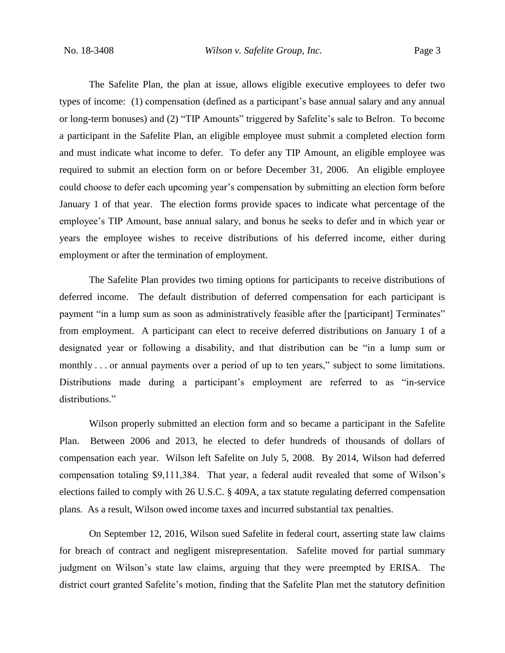The Safelite Plan, the plan at issue, allows eligible executive employees to defer two types of income: (1) compensation (defined as a participant's base annual salary and any annual or long-term bonuses) and (2) "TIP Amounts" triggered by Safelite's sale to Belron. To become a participant in the Safelite Plan, an eligible employee must submit a completed election form and must indicate what income to defer.To defer any TIP Amount, an eligible employee was required to submit an election form on or before December 31, 2006. An eligible employee could choose to defer each upcoming year's compensation by submitting an election form before January 1 of that year. The election forms provide spaces to indicate what percentage of the employee's TIP Amount, base annual salary, and bonus he seeks to defer and in which year or years the employee wishes to receive distributions of his deferred income, either during employment or after the termination of employment.

The Safelite Plan provides two timing options for participants to receive distributions of deferred income. The default distribution of deferred compensation for each participant is payment "in a lump sum as soon as administratively feasible after the [participant] Terminates" from employment. A participant can elect to receive deferred distributions on January 1 of a designated year or following a disability, and that distribution can be "in a lump sum or monthly . . . or annual payments over a period of up to ten years," subject to some limitations. Distributions made during a participant's employment are referred to as "in-service distributions."

Wilson properly submitted an election form and so became a participant in the Safelite Plan. Between 2006 and 2013, he elected to defer hundreds of thousands of dollars of compensation each year. Wilson left Safelite on July 5, 2008. By 2014, Wilson had deferred compensation totaling \$9,111,384. That year, a federal audit revealed that some of Wilson's elections failed to comply with 26 U.S.C. § 409A, a tax statute regulating deferred compensation plans. As a result, Wilson owed income taxes and incurred substantial tax penalties.

On September 12, 2016, Wilson sued Safelite in federal court, asserting state law claims for breach of contract and negligent misrepresentation. Safelite moved for partial summary judgment on Wilson's state law claims, arguing that they were preempted by ERISA. The district court granted Safelite's motion, finding that the Safelite Plan met the statutory definition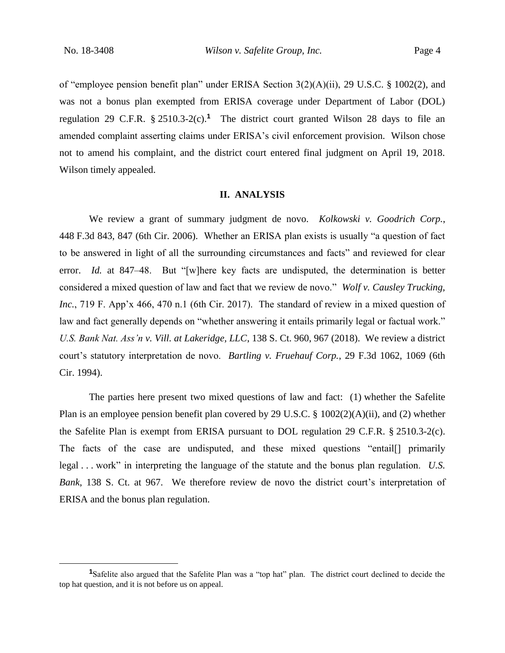$\overline{a}$ 

of "employee pension benefit plan" under ERISA Section 3(2)(A)(ii), 29 U.S.C. § 1002(2), and was not a bonus plan exempted from ERISA coverage under Department of Labor (DOL) regulation 29 C.F.R. § 2510.3-2(c).**<sup>1</sup>** The district court granted Wilson 28 days to file an amended complaint asserting claims under ERISA's civil enforcement provision. Wilson chose not to amend his complaint, and the district court entered final judgment on April 19, 2018. Wilson timely appealed.

## **II. ANALYSIS**

We review a grant of summary judgment de novo. *Kolkowski v. Goodrich Corp.*, 448 F.3d 843, 847 (6th Cir. 2006). Whether an ERISA plan exists is usually "a question of fact to be answered in light of all the surrounding circumstances and facts" and reviewed for clear error. *Id.* at 847–48. But "[w]here key facts are undisputed, the determination is better considered a mixed question of law and fact that we review de novo." *Wolf v. Causley Trucking, Inc.*, 719 F. App'x 466, 470 n.1 (6th Cir. 2017). The standard of review in a mixed question of law and fact generally depends on "whether answering it entails primarily legal or factual work." *U.S. Bank Nat. Ass'n v. Vill. at Lakeridge, LLC*, 138 S. Ct. 960, 967 (2018). We review a district court's statutory interpretation de novo. *Bartling v. Fruehauf Corp.*, 29 F.3d 1062, 1069 (6th Cir. 1994).

The parties here present two mixed questions of law and fact: (1) whether the Safelite Plan is an employee pension benefit plan covered by 29 U.S.C. § 1002(2)(A)(ii), and (2) whether the Safelite Plan is exempt from ERISA pursuant to DOL regulation 29 C.F.R. § 2510.3-2(c). The facts of the case are undisputed, and these mixed questions "entail[] primarily legal . . . work" in interpreting the language of the statute and the bonus plan regulation. *U.S. Bank*, 138 S. Ct. at 967. We therefore review de novo the district court's interpretation of ERISA and the bonus plan regulation.

**<sup>1</sup>**Safelite also argued that the Safelite Plan was a "top hat" plan. The district court declined to decide the top hat question, and it is not before us on appeal.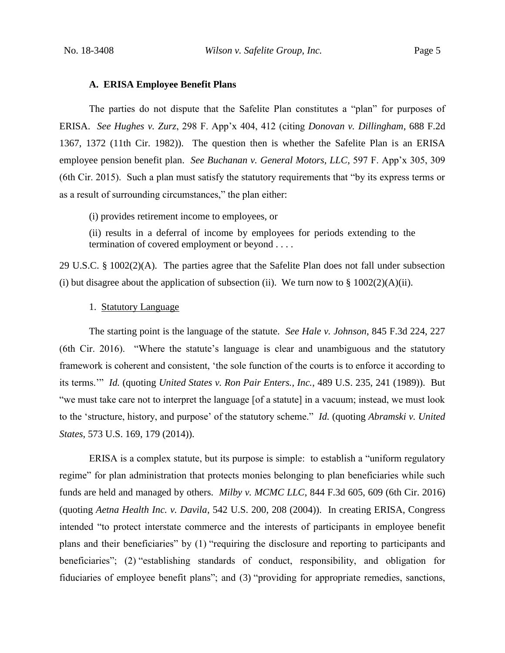## **A. ERISA Employee Benefit Plans**

The parties do not dispute that the Safelite Plan constitutes a "plan" for purposes of ERISA. *See Hughes v. Zurz*, 298 F. App'x 404, 412 (citing *Donovan v. Dillingham*, 688 F.2d 1367, 1372 (11th Cir. 1982)). The question then is whether the Safelite Plan is an ERISA employee pension benefit plan. *See Buchanan v. General Motors, LLC*, 597 F. App'x 305, 309 (6th Cir. 2015). Such a plan must satisfy the statutory requirements that "by its express terms or as a result of surrounding circumstances," the plan either:

(i) provides retirement income to employees, or

(ii) results in a deferral of income by employees for periods extending to the termination of covered employment or beyond . . . .

29 U.S.C. § 1002(2)(A). The parties agree that the Safelite Plan does not fall under subsection (i) but disagree about the application of subsection (ii). We turn now to  $\S 1002(2)(A)(ii)$ .

1. Statutory Language

The starting point is the language of the statute. *See Hale v. Johnson*, 845 F.3d 224, 227 (6th Cir. 2016). "Where the statute's language is clear and unambiguous and the statutory framework is coherent and consistent, 'the sole function of the courts is to enforce it according to its terms.'" *Id.* (quoting *United States v. Ron Pair Enters., Inc.*, 489 U.S. 235, 241 (1989)). But "we must take care not to interpret the language [of a statute] in a vacuum; instead, we must look to the 'structure, history, and purpose' of the statutory scheme." *Id.* (quoting *Abramski v. United States*, 573 U.S. 169, 179 (2014)).

ERISA is a complex statute, but its purpose is simple: to establish a "uniform regulatory regime" for plan administration that protects monies belonging to plan beneficiaries while such funds are held and managed by others. *Milby v. MCMC LLC*, 844 F.3d 605, 609 (6th Cir. 2016) (quoting *Aetna Health Inc. v. Davila*, 542 U.S. 200, 208 (2004)). In creating ERISA, Congress intended "to protect interstate commerce and the interests of participants in employee benefit plans and their beneficiaries" by (1) "requiring the disclosure and reporting to participants and beneficiaries"; (2) "establishing standards of conduct, responsibility, and obligation for fiduciaries of employee benefit plans"; and (3) "providing for appropriate remedies, sanctions,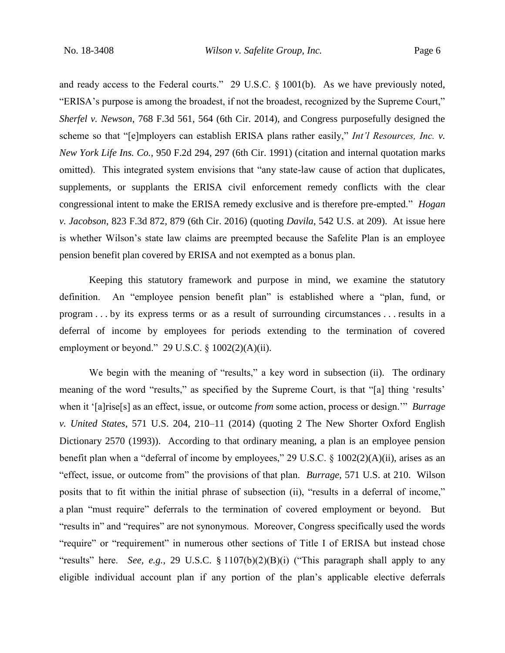and ready access to the Federal courts." 29 U.S.C. § 1001(b). As we have previously noted, "ERISA's purpose is among the broadest, if not the broadest, recognized by the Supreme Court," *Sherfel v. Newson*, 768 F.3d 561, 564 (6th Cir. 2014), and Congress purposefully designed the scheme so that "[e]mployers can establish ERISA plans rather easily," *Int'l Resources, Inc. v. New York Life Ins. Co.*, 950 F.2d 294, 297 (6th Cir. 1991) (citation and internal quotation marks omitted). This integrated system envisions that "any state-law cause of action that duplicates, supplements, or supplants the ERISA civil enforcement remedy conflicts with the clear congressional intent to make the ERISA remedy exclusive and is therefore pre-empted." *Hogan v. Jacobson*, 823 F.3d 872, 879 (6th Cir. 2016) (quoting *Davila*, 542 U.S. at 209). At issue here is whether Wilson's state law claims are preempted because the Safelite Plan is an employee pension benefit plan covered by ERISA and not exempted as a bonus plan.

Keeping this statutory framework and purpose in mind, we examine the statutory definition. An "employee pension benefit plan" is established where a "plan, fund, or program . . . by its express terms or as a result of surrounding circumstances . . . results in a deferral of income by employees for periods extending to the termination of covered employment or beyond." 29 U.S.C.  $\S$  1002(2)(A)(ii).

We begin with the meaning of "results," a key word in subsection (ii). The ordinary meaning of the word "results," as specified by the Supreme Court, is that "[a] thing 'results' when it '[a]rise[s] as an effect, issue, or outcome *from* some action, process or design.'" *Burrage v. United States*, 571 U.S. 204, 210–11 (2014) (quoting 2 The New Shorter Oxford English Dictionary 2570 (1993)). According to that ordinary meaning, a plan is an employee pension benefit plan when a "deferral of income by employees," 29 U.S.C. § 1002(2)(A)(ii), arises as an "effect, issue, or outcome from" the provisions of that plan. *Burrage*, 571 U.S. at 210. Wilson posits that to fit within the initial phrase of subsection (ii), "results in a deferral of income," a plan "must require" deferrals to the termination of covered employment or beyond. But "results in" and "requires" are not synonymous. Moreover, Congress specifically used the words "require" or "requirement" in numerous other sections of Title I of ERISA but instead chose "results" here. *See, e.g.*, 29 U.S.C. § 1107(b)(2)(B)(i) ("This paragraph shall apply to any eligible individual account plan if any portion of the plan's applicable elective deferrals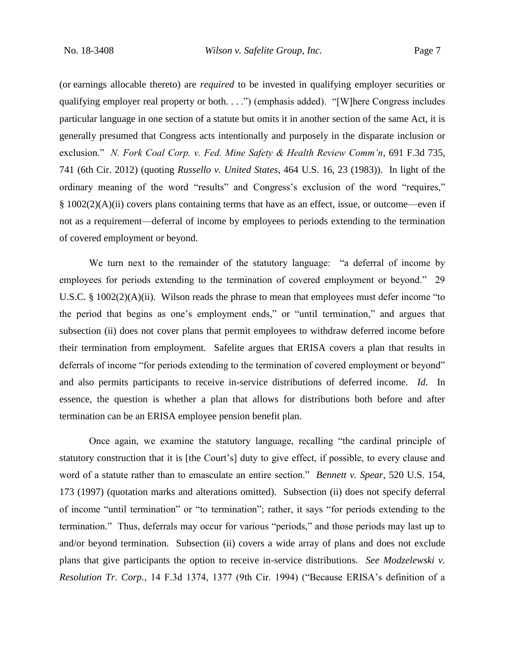(or earnings allocable thereto) are *required* to be invested in qualifying employer securities or qualifying employer real property or both. . . .") (emphasis added). "[W]here Congress includes particular language in one section of a statute but omits it in another section of the same Act, it is generally presumed that Congress acts intentionally and purposely in the disparate inclusion or exclusion." *N. Fork Coal Corp. v. Fed. Mine Safety & Health Review Comm'n*, 691 F.3d 735, 741 (6th Cir. 2012) (quoting *Russello v. United States*, 464 U.S. 16, 23 (1983)). In light of the ordinary meaning of the word "results" and Congress's exclusion of the word "requires," § 1002(2)(A)(ii) covers plans containing terms that have as an effect, issue, or outcome—even if not as a requirement—deferral of income by employees to periods extending to the termination of covered employment or beyond.

We turn next to the remainder of the statutory language: "a deferral of income by employees for periods extending to the termination of covered employment or beyond." 29 U.S.C. § 1002(2)(A)(ii). Wilson reads the phrase to mean that employees must defer income "to the period that begins as one's employment ends," or "until termination," and argues that subsection (ii) does not cover plans that permit employees to withdraw deferred income before their termination from employment. Safelite argues that ERISA covers a plan that results in deferrals of income "for periods extending to the termination of covered employment or beyond" and also permits participants to receive in-service distributions of deferred income. *Id*. In essence, the question is whether a plan that allows for distributions both before and after termination can be an ERISA employee pension benefit plan.

Once again, we examine the statutory language, recalling "the cardinal principle of statutory construction that it is [the Court's] duty to give effect, if possible, to every clause and word of a statute rather than to emasculate an entire section." *Bennett v. Spear*, 520 U.S. 154, 173 (1997) (quotation marks and alterations omitted). Subsection (ii) does not specify deferral of income "until termination" or "to termination"; rather, it says "for periods extending to the termination." Thus, deferrals may occur for various "periods," and those periods may last up to and/or beyond termination. Subsection (ii) covers a wide array of plans and does not exclude plans that give participants the option to receive in-service distributions. *See Modzelewski v. Resolution Tr. Corp.*, 14 F.3d 1374, 1377 (9th Cir. 1994) ("Because ERISA's definition of a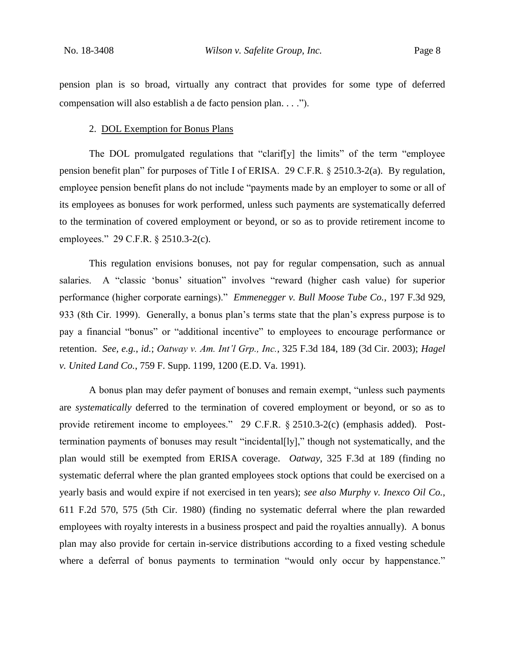pension plan is so broad, virtually any contract that provides for some type of deferred compensation will also establish a de facto pension plan. . . .").

## 2. DOL Exemption for Bonus Plans

The DOL promulgated regulations that "clarif[y] the limits" of the term "employee pension benefit plan" for purposes of Title I of ERISA. 29 C.F.R. § 2510.3-2(a). By regulation, employee pension benefit plans do not include "payments made by an employer to some or all of its employees as bonuses for work performed, unless such payments are systematically deferred to the termination of covered employment or beyond, or so as to provide retirement income to employees." 29 C.F.R. § 2510.3-2(c).

This regulation envisions bonuses, not pay for regular compensation, such as annual salaries. A "classic 'bonus' situation" involves "reward (higher cash value) for superior performance (higher corporate earnings)." *Emmenegger v. Bull Moose Tube Co.*, 197 F.3d 929, 933 (8th Cir. 1999). Generally, a bonus plan's terms state that the plan's express purpose is to pay a financial "bonus" or "additional incentive" to employees to encourage performance or retention. *See, e.g.*, *id.*; *Oatway v. Am. Int'l Grp., Inc.*, 325 F.3d 184, 189 (3d Cir. 2003); *Hagel v. United Land Co.*, 759 F. Supp. 1199, 1200 (E.D. Va. 1991).

A bonus plan may defer payment of bonuses and remain exempt, "unless such payments are *systematically* deferred to the termination of covered employment or beyond, or so as to provide retirement income to employees." 29 C.F.R. § 2510.3-2(c) (emphasis added). Posttermination payments of bonuses may result "incidental[ly]," though not systematically, and the plan would still be exempted from ERISA coverage. *Oatway*, 325 F.3d at 189 (finding no systematic deferral where the plan granted employees stock options that could be exercised on a yearly basis and would expire if not exercised in ten years); *see also Murphy v. Inexco Oil Co.*, 611 F.2d 570, 575 (5th Cir. 1980) (finding no systematic deferral where the plan rewarded employees with royalty interests in a business prospect and paid the royalties annually). A bonus plan may also provide for certain in-service distributions according to a fixed vesting schedule where a deferral of bonus payments to termination "would only occur by happenstance."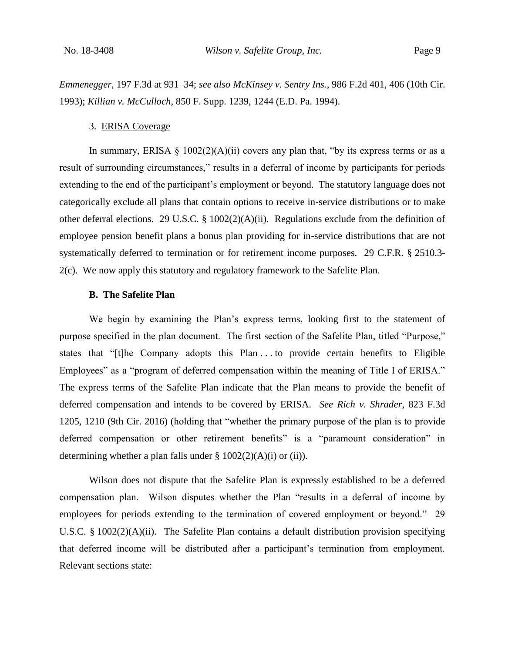*Emmenegger*, 197 F.3d at 931–34; *see also McKinsey v. Sentry Ins.*, 986 F.2d 401, 406 (10th Cir. 1993); *Killian v. McCulloch*, 850 F. Supp. 1239, 1244 (E.D. Pa. 1994).

#### 3. ERISA Coverage

In summary, ERISA  $\S$  1002(2)(A)(ii) covers any plan that, "by its express terms or as a result of surrounding circumstances," results in a deferral of income by participants for periods extending to the end of the participant's employment or beyond. The statutory language does not categorically exclude all plans that contain options to receive in-service distributions or to make other deferral elections. 29 U.S.C. § 1002(2)(A)(ii). Regulations exclude from the definition of employee pension benefit plans a bonus plan providing for in-service distributions that are not systematically deferred to termination or for retirement income purposes. 29 C.F.R. § 2510.3- 2(c). We now apply this statutory and regulatory framework to the Safelite Plan.

## **B. The Safelite Plan**

We begin by examining the Plan's express terms, looking first to the statement of purpose specified in the plan document. The first section of the Safelite Plan, titled "Purpose," states that "[t]he Company adopts this Plan . . . to provide certain benefits to Eligible Employees" as a "program of deferred compensation within the meaning of Title I of ERISA." The express terms of the Safelite Plan indicate that the Plan means to provide the benefit of deferred compensation and intends to be covered by ERISA. *See Rich v. Shrader*, 823 F.3d 1205, 1210 (9th Cir. 2016) (holding that "whether the primary purpose of the plan is to provide deferred compensation or other retirement benefits" is a "paramount consideration" in determining whether a plan falls under  $\S$  1002(2)(A)(i) or (ii)).

Wilson does not dispute that the Safelite Plan is expressly established to be a deferred compensation plan. Wilson disputes whether the Plan "results in a deferral of income by employees for periods extending to the termination of covered employment or beyond." 29 U.S.C. § 1002(2)(A)(ii). The Safelite Plan contains a default distribution provision specifying that deferred income will be distributed after a participant's termination from employment. Relevant sections state: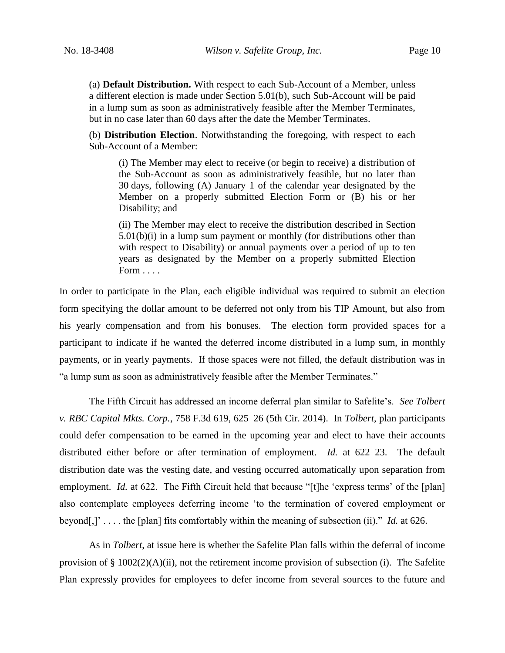(a) **Default Distribution.** With respect to each Sub-Account of a Member, unless a different election is made under Section 5.01(b), such Sub-Account will be paid in a lump sum as soon as administratively feasible after the Member Terminates, but in no case later than 60 days after the date the Member Terminates.

(b) **Distribution Election**. Notwithstanding the foregoing, with respect to each Sub-Account of a Member:

(i) The Member may elect to receive (or begin to receive) a distribution of the Sub-Account as soon as administratively feasible, but no later than 30 days, following (A) January 1 of the calendar year designated by the Member on a properly submitted Election Form or (B) his or her Disability; and

(ii) The Member may elect to receive the distribution described in Section 5.01(b)(i) in a lump sum payment or monthly (for distributions other than with respect to Disability) or annual payments over a period of up to ten years as designated by the Member on a properly submitted Election Form . . . .

In order to participate in the Plan, each eligible individual was required to submit an election form specifying the dollar amount to be deferred not only from his TIP Amount, but also from his yearly compensation and from his bonuses. The election form provided spaces for a participant to indicate if he wanted the deferred income distributed in a lump sum, in monthly payments, or in yearly payments. If those spaces were not filled, the default distribution was in "a lump sum as soon as administratively feasible after the Member Terminates."

The Fifth Circuit has addressed an income deferral plan similar to Safelite's. *See Tolbert v. RBC Capital Mkts. Corp.*, 758 F.3d 619, 625–26 (5th Cir. 2014). In *Tolbert*, plan participants could defer compensation to be earned in the upcoming year and elect to have their accounts distributed either before or after termination of employment. *Id.* at 622–23. The default distribution date was the vesting date, and vesting occurred automatically upon separation from employment. *Id.* at 622. The Fifth Circuit held that because "[t]he 'express terms' of the [plan] also contemplate employees deferring income 'to the termination of covered employment or beyond[,]' . . . . the [plan] fits comfortably within the meaning of subsection (ii)." *Id.* at 626.

As in *Tolbert*, at issue here is whether the Safelite Plan falls within the deferral of income provision of  $\S 1002(2)(A)(ii)$ , not the retirement income provision of subsection (i). The Safelite Plan expressly provides for employees to defer income from several sources to the future and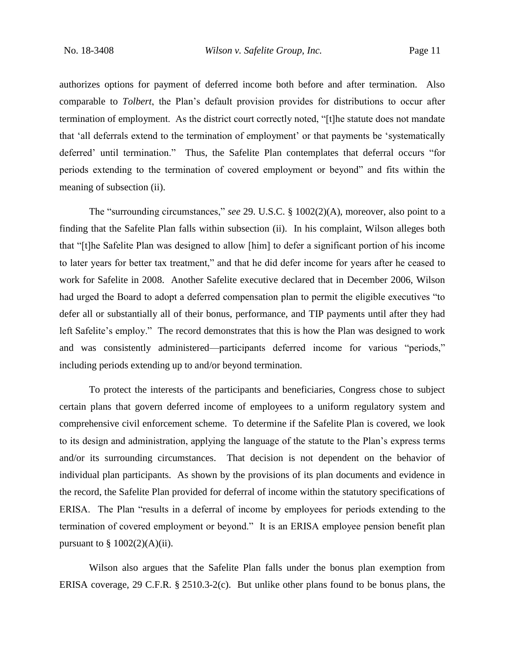authorizes options for payment of deferred income both before and after termination. Also comparable to *Tolbert*, the Plan's default provision provides for distributions to occur after termination of employment. As the district court correctly noted, "[t]he statute does not mandate that 'all deferrals extend to the termination of employment' or that payments be 'systematically deferred' until termination."Thus, the Safelite Plan contemplates that deferral occurs "for periods extending to the termination of covered employment or beyond" and fits within the meaning of subsection (ii).

The "surrounding circumstances," *see* 29. U.S.C. § 1002(2)(A), moreover, also point to a finding that the Safelite Plan falls within subsection (ii). In his complaint, Wilson alleges both that "[t]he Safelite Plan was designed to allow [him] to defer a significant portion of his income to later years for better tax treatment," and that he did defer income for years after he ceased to work for Safelite in 2008. Another Safelite executive declared that in December 2006, Wilson had urged the Board to adopt a deferred compensation plan to permit the eligible executives "to defer all or substantially all of their bonus, performance, and TIP payments until after they had left Safelite's employ."The record demonstrates that this is how the Plan was designed to work and was consistently administered—participants deferred income for various "periods," including periods extending up to and/or beyond termination.

To protect the interests of the participants and beneficiaries, Congress chose to subject certain plans that govern deferred income of employees to a uniform regulatory system and comprehensive civil enforcement scheme. To determine if the Safelite Plan is covered, we look to its design and administration, applying the language of the statute to the Plan's express terms and/or its surrounding circumstances. That decision is not dependent on the behavior of individual plan participants. As shown by the provisions of its plan documents and evidence in the record, the Safelite Plan provided for deferral of income within the statutory specifications of ERISA. The Plan "results in a deferral of income by employees for periods extending to the termination of covered employment or beyond." It is an ERISA employee pension benefit plan pursuant to  $\S$  1002(2)(A)(ii).

Wilson also argues that the Safelite Plan falls under the bonus plan exemption from ERISA coverage, 29 C.F.R. § 2510.3-2(c). But unlike other plans found to be bonus plans, the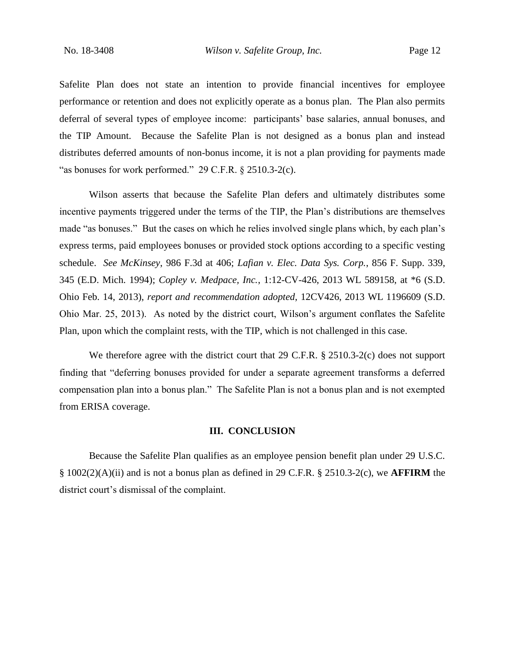Safelite Plan does not state an intention to provide financial incentives for employee performance or retention and does not explicitly operate as a bonus plan. The Plan also permits deferral of several types of employee income: participants' base salaries, annual bonuses, and the TIP Amount. Because the Safelite Plan is not designed as a bonus plan and instead distributes deferred amounts of non-bonus income, it is not a plan providing for payments made "as bonuses for work performed." 29 C.F.R. § 2510.3-2(c).

Wilson asserts that because the Safelite Plan defers and ultimately distributes some incentive payments triggered under the terms of the TIP, the Plan's distributions are themselves made "as bonuses." But the cases on which he relies involved single plans which, by each plan's express terms, paid employees bonuses or provided stock options according to a specific vesting schedule. *See McKinsey*, 986 F.3d at 406; *Lafian v. Elec. Data Sys. Corp.*, 856 F. Supp. 339, 345 (E.D. Mich. 1994); *Copley v. Medpace, Inc.*, 1:12-CV-426, 2013 WL 589158, at \*6 (S.D. Ohio Feb. 14, 2013), *report and recommendation adopted*, 12CV426, 2013 WL 1196609 (S.D. Ohio Mar. 25, 2013). As noted by the district court, Wilson's argument conflates the Safelite Plan, upon which the complaint rests, with the TIP, which is not challenged in this case.

We therefore agree with the district court that 29 C.F.R. § 2510.3-2(c) does not support finding that "deferring bonuses provided for under a separate agreement transforms a deferred compensation plan into a bonus plan." The Safelite Plan is not a bonus plan and is not exempted from ERISA coverage.

## **III. CONCLUSION**

Because the Safelite Plan qualifies as an employee pension benefit plan under 29 U.S.C. § 1002(2)(A)(ii) and is not a bonus plan as defined in 29 C.F.R. § 2510.3-2(c), we **AFFIRM** the district court's dismissal of the complaint.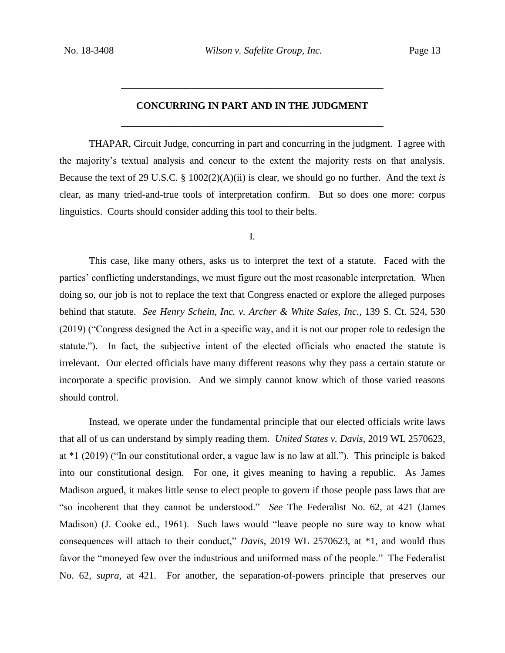# **CONCURRING IN PART AND IN THE JUDGMENT** \_\_\_\_\_\_\_\_\_\_\_\_\_\_\_\_\_\_\_\_\_\_\_\_\_\_\_\_\_\_\_\_\_\_\_\_\_\_\_\_\_\_\_\_\_\_\_\_\_\_\_\_\_

\_\_\_\_\_\_\_\_\_\_\_\_\_\_\_\_\_\_\_\_\_\_\_\_\_\_\_\_\_\_\_\_\_\_\_\_\_\_\_\_\_\_\_\_\_\_\_\_\_\_\_\_\_

THAPAR, Circuit Judge, concurring in part and concurring in the judgment. I agree with the majority's textual analysis and concur to the extent the majority rests on that analysis. Because the text of 29 U.S.C. § 1002(2)(A)(ii) is clear, we should go no further. And the text *is*  clear, as many tried-and-true tools of interpretation confirm. But so does one more: corpus linguistics. Courts should consider adding this tool to their belts.

I.

This case, like many others, asks us to interpret the text of a statute. Faced with the parties' conflicting understandings, we must figure out the most reasonable interpretation. When doing so, our job is not to replace the text that Congress enacted or explore the alleged purposes behind that statute. *See Henry Schein, Inc. v. Archer & White Sales, Inc.*, 139 S. Ct. 524, 530 (2019) ("Congress designed the Act in a specific way, and it is not our proper role to redesign the statute."). In fact, the subjective intent of the elected officials who enacted the statute is irrelevant. Our elected officials have many different reasons why they pass a certain statute or incorporate a specific provision. And we simply cannot know which of those varied reasons should control.

Instead, we operate under the fundamental principle that our elected officials write laws that all of us can understand by simply reading them. *United States v. Davis*, 2019 WL 2570623, at \*1 (2019) ("In our constitutional order, a vague law is no law at all."). This principle is baked into our constitutional design. For one, it gives meaning to having a republic. As James Madison argued, it makes little sense to elect people to govern if those people pass laws that are "so incoherent that they cannot be understood." *See* The Federalist No. 62, at 421 (James Madison) (J. Cooke ed., 1961). Such laws would "leave people no sure way to know what consequences will attach to their conduct," *Davis*, 2019 WL 2570623, at \*1, and would thus favor the "moneyed few over the industrious and uniformed mass of the people." The Federalist No. 62, *supra*, at 421.For another, the separation-of-powers principle that preserves our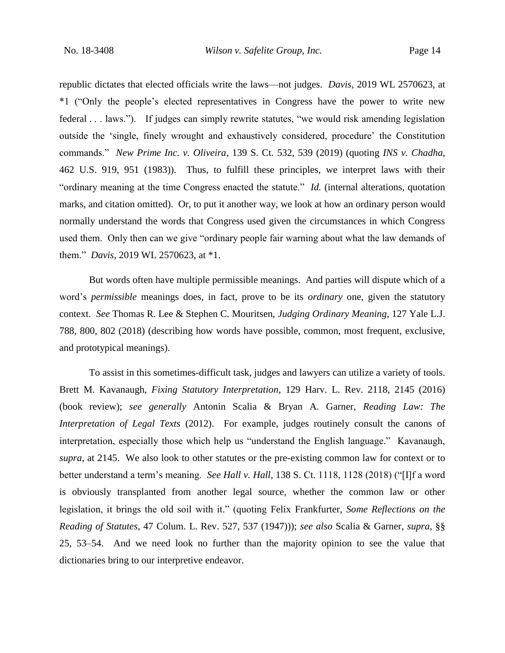republic dictates that elected officials write the laws—not judges. *Davis*, 2019 WL 2570623, at \*1 ("Only the people's elected representatives in Congress have the power to write new federal . . . laws."). If judges can simply rewrite statutes, "we would risk amending legislation outside the 'single, finely wrought and exhaustively considered, procedure' the Constitution commands." *New Prime Inc. v. Oliveira*, 139 S. Ct. 532, 539 (2019) (quoting *INS v. Chadha*, 462 U.S. 919, 951 (1983)). Thus, to fulfill these principles, we interpret laws with their "ordinary meaning at the time Congress enacted the statute." *Id.* (internal alterations, quotation marks, and citation omitted). Or, to put it another way, we look at how an ordinary person would normally understand the words that Congress used given the circumstances in which Congress used them. Only then can we give "ordinary people fair warning about what the law demands of them." *Davis*, 2019 WL 2570623, at \*1.

But words often have multiple permissible meanings. And parties will dispute which of a word's *permissible* meanings does, in fact, prove to be its *ordinary* one, given the statutory context. *See* Thomas R. Lee & Stephen C. Mouritsen, *Judging Ordinary Meaning*, 127 Yale L.J. 788, 800, 802 (2018) (describing how words have possible, common, most frequent, exclusive, and prototypical meanings).

To assist in this sometimes-difficult task, judges and lawyers can utilize a variety of tools. Brett M. Kavanaugh, *Fixing Statutory Interpretation*, 129 Harv. L. Rev. 2118, 2145 (2016) (book review); *see generally* Antonin Scalia & Bryan A. Garner, *Reading Law: The Interpretation of Legal Texts* (2012). For example, judges routinely consult the canons of interpretation, especially those which help us "understand the English language." Kavanaugh, *supra*, at 2145. We also look to other statutes or the pre-existing common law for context or to better understand a term's meaning. *See Hall v. Hall*, 138 S. Ct. 1118, 1128 (2018) ("[I]f a word is obviously transplanted from another legal source, whether the common law or other legislation, it brings the old soil with it." (quoting Felix Frankfurter, *Some Reflections on the Reading of Statutes*, 47 Colum. L. Rev. 527, 537 (1947))); *see also* Scalia & Garner, *supra*, §§ 25, 53–54. And we need look no further than the majority opinion to see the value that dictionaries bring to our interpretive endeavor.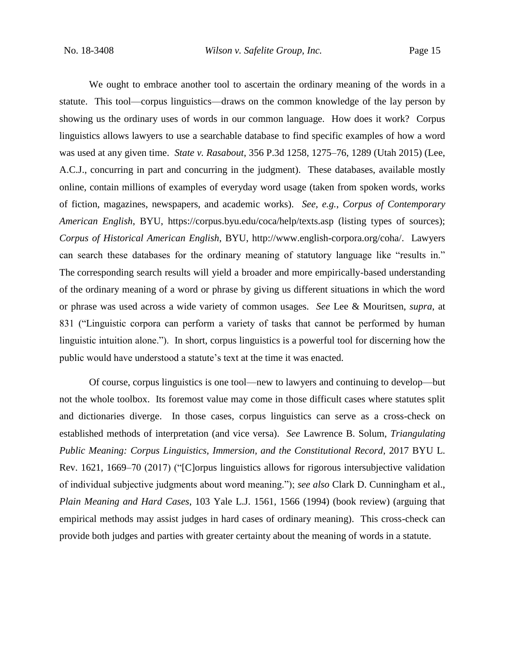We ought to embrace another tool to ascertain the ordinary meaning of the words in a statute. This tool—corpus linguistics—draws on the common knowledge of the lay person by showing us the ordinary uses of words in our common language. How does it work? Corpus linguistics allows lawyers to use a searchable database to find specific examples of how a word was used at any given time. *State v. Rasabout*, 356 P.3d 1258, 1275–76, 1289 (Utah 2015) (Lee, A.C.J., concurring in part and concurring in the judgment). These databases, available mostly online, contain millions of examples of everyday word usage (taken from spoken words, works of fiction, magazines, newspapers, and academic works). *See, e.g.*, *Corpus of Contemporary American English*, BYU, https://corpus.byu.edu/coca/help/texts.asp (listing types of sources); *Corpus of Historical American English*, BYU, http://www.english-corpora.org/coha/. Lawyers can search these databases for the ordinary meaning of statutory language like "results in." The corresponding search results will yield a broader and more empirically-based understanding of the ordinary meaning of a word or phrase by giving us different situations in which the word or phrase was used across a wide variety of common usages. *See* Lee & Mouritsen, *supra*, at 831 ("Linguistic corpora can perform a variety of tasks that cannot be performed by human linguistic intuition alone."). In short, corpus linguistics is a powerful tool for discerning how the public would have understood a statute's text at the time it was enacted.

Of course, corpus linguistics is one tool—new to lawyers and continuing to develop—but not the whole toolbox. Its foremost value may come in those difficult cases where statutes split and dictionaries diverge. In those cases, corpus linguistics can serve as a cross-check on established methods of interpretation (and vice versa). *See* Lawrence B. Solum, *Triangulating Public Meaning: Corpus Linguistics, Immersion, and the Constitutional Record*, 2017 BYU L. Rev. 1621, 1669–70 (2017) ("[C]orpus linguistics allows for rigorous intersubjective validation of individual subjective judgments about word meaning."); *see also* Clark D. Cunningham et al., *Plain Meaning and Hard Cases*, 103 Yale L.J. 1561, 1566 (1994) (book review) (arguing that empirical methods may assist judges in hard cases of ordinary meaning). This cross-check can provide both judges and parties with greater certainty about the meaning of words in a statute.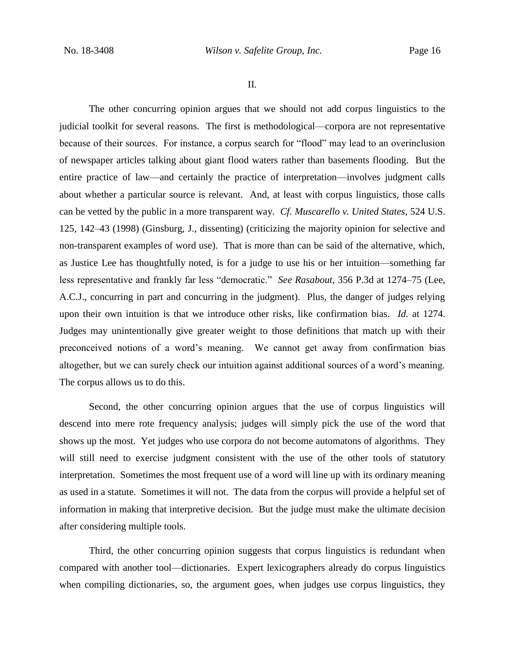II.

The other concurring opinion argues that we should not add corpus linguistics to the judicial toolkit for several reasons. The first is methodological—corpora are not representative because of their sources. For instance, a corpus search for "flood" may lead to an overinclusion of newspaper articles talking about giant flood waters rather than basements flooding. But the entire practice of law—and certainly the practice of interpretation—involves judgment calls about whether a particular source is relevant. And, at least with corpus linguistics, those calls can be vetted by the public in a more transparent way. *Cf. Muscarello v. United States*, 524 U.S. 125, 142–43 (1998) (Ginsburg, J., dissenting) (criticizing the majority opinion for selective and non-transparent examples of word use). That is more than can be said of the alternative, which, as Justice Lee has thoughtfully noted, is for a judge to use his or her intuition—something far less representative and frankly far less "democratic." *See Rasabout*, 356 P.3d at 1274–75 (Lee, A.C.J., concurring in part and concurring in the judgment). Plus, the danger of judges relying upon their own intuition is that we introduce other risks, like confirmation bias. *Id.* at 1274. Judges may unintentionally give greater weight to those definitions that match up with their preconceived notions of a word's meaning. We cannot get away from confirmation bias altogether, but we can surely check our intuition against additional sources of a word's meaning. The corpus allows us to do this.

Second, the other concurring opinion argues that the use of corpus linguistics will descend into mere rote frequency analysis; judges will simply pick the use of the word that shows up the most. Yet judges who use corpora do not become automatons of algorithms. They will still need to exercise judgment consistent with the use of the other tools of statutory interpretation. Sometimes the most frequent use of a word will line up with its ordinary meaning as used in a statute. Sometimes it will not. The data from the corpus will provide a helpful set of information in making that interpretive decision. But the judge must make the ultimate decision after considering multiple tools.

Third, the other concurring opinion suggests that corpus linguistics is redundant when compared with another tool—dictionaries. Expert lexicographers already do corpus linguistics when compiling dictionaries, so, the argument goes, when judges use corpus linguistics, they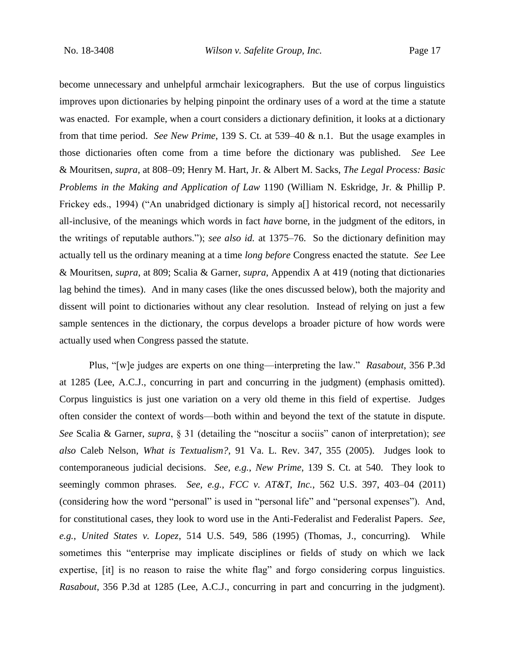become unnecessary and unhelpful armchair lexicographers. But the use of corpus linguistics improves upon dictionaries by helping pinpoint the ordinary uses of a word at the time a statute was enacted. For example, when a court considers a dictionary definition, it looks at a dictionary from that time period. *See New Prime*, 139 S. Ct. at 539–40 & n.1. But the usage examples in those dictionaries often come from a time before the dictionary was published. *See* Lee & Mouritsen, *supra*, at 808–09; Henry M. Hart, Jr. & Albert M. Sacks, *The Legal Process: Basic Problems in the Making and Application of Law* 1190 (William N. Eskridge, Jr. & Phillip P. Frickey eds., 1994) ("An unabridged dictionary is simply a<sup>[]</sup> historical record, not necessarily all-inclusive, of the meanings which words in fact *have* borne, in the judgment of the editors, in the writings of reputable authors."); *see also id.* at 1375–76. So the dictionary definition may actually tell us the ordinary meaning at a time *long before* Congress enacted the statute. *See* Lee & Mouritsen, *supra*, at 809; Scalia & Garner, *supra*, Appendix A at 419 (noting that dictionaries lag behind the times). And in many cases (like the ones discussed below), both the majority and dissent will point to dictionaries without any clear resolution. Instead of relying on just a few sample sentences in the dictionary, the corpus develops a broader picture of how words were actually used when Congress passed the statute.

Plus, "[w]e judges are experts on one thing—interpreting the law." *Rasabout*, 356 P.3d at 1285 (Lee, A.C.J., concurring in part and concurring in the judgment) (emphasis omitted). Corpus linguistics is just one variation on a very old theme in this field of expertise. Judges often consider the context of words—both within and beyond the text of the statute in dispute. *See* Scalia & Garner, *supra*, § 31 (detailing the "noscitur a sociis" canon of interpretation); *see also* Caleb Nelson, *What is Textualism?*, 91 Va. L. Rev. 347, 355 (2005). Judges look to contemporaneous judicial decisions. *See, e.g.*, *New Prime*, 139 S. Ct. at 540. They look to seemingly common phrases. *See, e.g.*, *FCC v. AT&T, Inc.*, 562 U.S. 397, 403–04 (2011) (considering how the word "personal" is used in "personal life" and "personal expenses"). And, for constitutional cases, they look to word use in the Anti-Federalist and Federalist Papers. *See, e.g.*, *United States v. Lopez*, 514 U.S. 549, 586 (1995) (Thomas, J., concurring). While sometimes this "enterprise may implicate disciplines or fields of study on which we lack expertise, [it] is no reason to raise the white flag" and forgo considering corpus linguistics. *Rasabout*, 356 P.3d at 1285 (Lee, A.C.J., concurring in part and concurring in the judgment).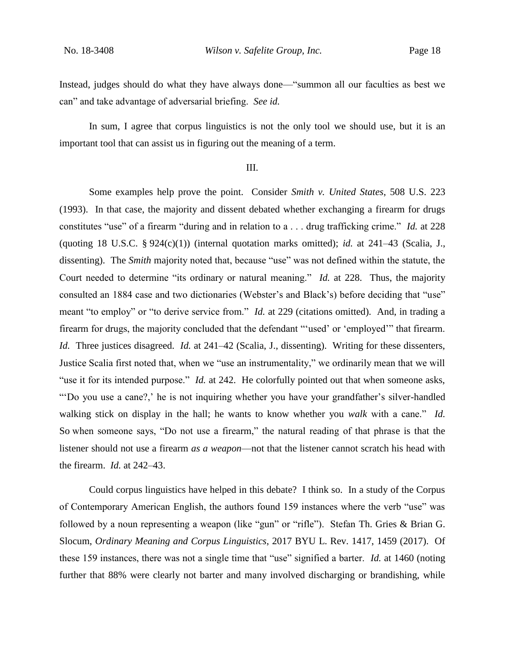Instead, judges should do what they have always done—"summon all our faculties as best we can" and take advantage of adversarial briefing. *See id.*

In sum, I agree that corpus linguistics is not the only tool we should use, but it is an important tool that can assist us in figuring out the meaning of a term.

## III.

Some examples help prove the point. Consider *Smith v. United States*, 508 U.S. 223 (1993). In that case, the majority and dissent debated whether exchanging a firearm for drugs constitutes "use" of a firearm "during and in relation to a . . . drug trafficking crime." *Id.* at 228 (quoting 18 U.S.C.  $\S 924(c)(1)$ ) (internal quotation marks omitted); *id.* at 241–43 (Scalia, J., dissenting). The *Smith* majority noted that, because "use" was not defined within the statute, the Court needed to determine "its ordinary or natural meaning." *Id.* at 228. Thus, the majority consulted an 1884 case and two dictionaries (Webster's and Black's) before deciding that "use" meant "to employ" or "to derive service from." *Id.* at 229 (citations omitted). And, in trading a firearm for drugs, the majority concluded that the defendant "'used' or 'employed'" that firearm. *Id.* Three justices disagreed. *Id.* at 241–42 (Scalia, J., dissenting). Writing for these dissenters, Justice Scalia first noted that, when we "use an instrumentality," we ordinarily mean that we will "use it for its intended purpose." *Id.* at 242. He colorfully pointed out that when someone asks, "'Do you use a cane?,' he is not inquiring whether you have your grandfather's silver-handled walking stick on display in the hall; he wants to know whether you *walk* with a cane." *Id.* So when someone says, "Do not use a firearm," the natural reading of that phrase is that the listener should not use a firearm *as a weapon*—not that the listener cannot scratch his head with the firearm. *Id.* at 242–43.

Could corpus linguistics have helped in this debate? I think so. In a study of the Corpus of Contemporary American English, the authors found 159 instances where the verb "use" was followed by a noun representing a weapon (like "gun" or "rifle"). Stefan Th. Gries & Brian G. Slocum, *Ordinary Meaning and Corpus Linguistics*, 2017 BYU L. Rev. 1417, 1459 (2017). Of these 159 instances, there was not a single time that "use" signified a barter. *Id.* at 1460 (noting further that 88% were clearly not barter and many involved discharging or brandishing, while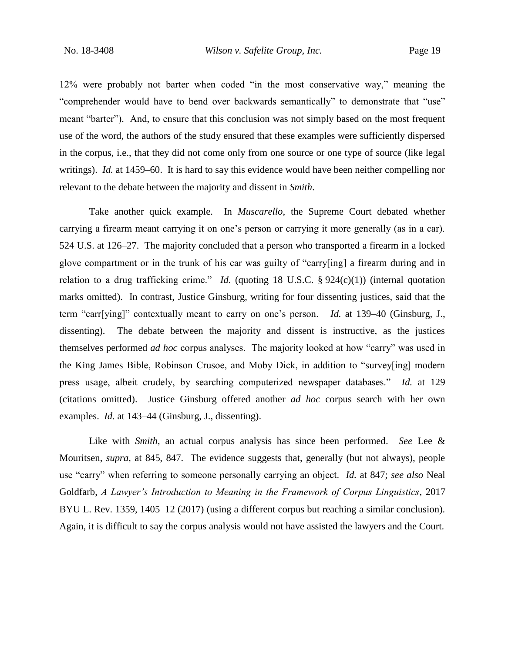12% were probably not barter when coded "in the most conservative way," meaning the "comprehender would have to bend over backwards semantically" to demonstrate that "use" meant "barter"). And, to ensure that this conclusion was not simply based on the most frequent use of the word, the authors of the study ensured that these examples were sufficiently dispersed in the corpus, i.e., that they did not come only from one source or one type of source (like legal writings). *Id.* at 1459–60. It is hard to say this evidence would have been neither compelling nor relevant to the debate between the majority and dissent in *Smith*.

Take another quick example. In *Muscarello*, the Supreme Court debated whether carrying a firearm meant carrying it on one's person or carrying it more generally (as in a car). 524 U.S. at 126–27. The majority concluded that a person who transported a firearm in a locked glove compartment or in the trunk of his car was guilty of "carry[ing] a firearm during and in relation to a drug trafficking crime." *Id.* (quoting 18 U.S.C. § 924(c)(1)) (internal quotation marks omitted). In contrast, Justice Ginsburg, writing for four dissenting justices, said that the term "carr[ying]" contextually meant to carry on one's person. *Id.* at 139–40 (Ginsburg, J., dissenting). The debate between the majority and dissent is instructive, as the justices themselves performed *ad hoc* corpus analyses. The majority looked at how "carry" was used in the King James Bible, Robinson Crusoe, and Moby Dick, in addition to "survey[ing] modern press usage, albeit crudely, by searching computerized newspaper databases." *Id.* at 129 (citations omitted). Justice Ginsburg offered another *ad hoc* corpus search with her own examples. *Id.* at 143–44 (Ginsburg, J., dissenting).

Like with *Smith*, an actual corpus analysis has since been performed. *See* Lee & Mouritsen, *supra*, at 845, 847. The evidence suggests that, generally (but not always), people use "carry" when referring to someone personally carrying an object. *Id.* at 847; *see also* Neal Goldfarb, *A Lawyer's Introduction to Meaning in the Framework of Corpus Linguistics*, 2017 BYU L. Rev. 1359, 1405–12 (2017) (using a different corpus but reaching a similar conclusion). Again, it is difficult to say the corpus analysis would not have assisted the lawyers and the Court.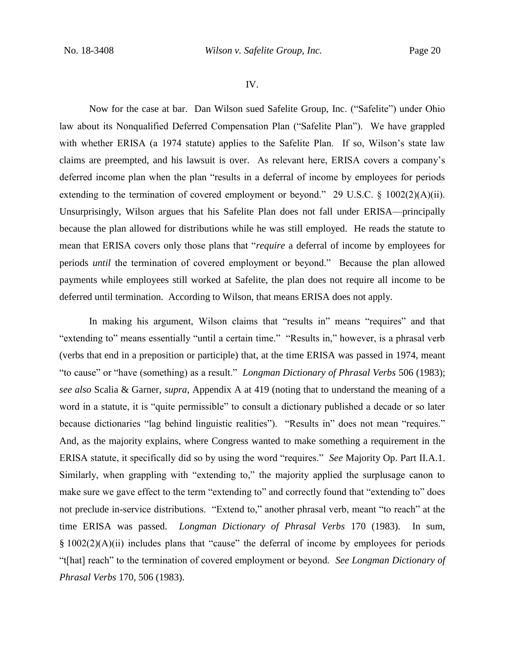### IV.

Now for the case at bar. Dan Wilson sued Safelite Group, Inc. ("Safelite") under Ohio law about its Nonqualified Deferred Compensation Plan ("Safelite Plan"). We have grappled with whether ERISA (a 1974 statute) applies to the Safelite Plan. If so, Wilson's state law claims are preempted, and his lawsuit is over. As relevant here, ERISA covers a company's deferred income plan when the plan "results in a deferral of income by employees for periods extending to the termination of covered employment or beyond." 29 U.S.C. § 1002(2)(A)(ii). Unsurprisingly, Wilson argues that his Safelite Plan does not fall under ERISA—principally because the plan allowed for distributions while he was still employed. He reads the statute to mean that ERISA covers only those plans that "*require* a deferral of income by employees for periods *until* the termination of covered employment or beyond." Because the plan allowed payments while employees still worked at Safelite, the plan does not require all income to be deferred until termination. According to Wilson, that means ERISA does not apply.

In making his argument, Wilson claims that "results in" means "requires" and that "extending to" means essentially "until a certain time." "Results in," however, is a phrasal verb (verbs that end in a preposition or participle) that, at the time ERISA was passed in 1974, meant "to cause" or "have (something) as a result." *Longman Dictionary of Phrasal Verbs* 506 (1983); *see also* Scalia & Garner, *supra*, Appendix A at 419 (noting that to understand the meaning of a word in a statute, it is "quite permissible" to consult a dictionary published a decade or so later because dictionaries "lag behind linguistic realities"). "Results in" does not mean "requires." And, as the majority explains, where Congress wanted to make something a requirement in the ERISA statute, it specifically did so by using the word "requires." *See* Majority Op. Part II.A.1. Similarly, when grappling with "extending to," the majority applied the surplusage canon to make sure we gave effect to the term "extending to" and correctly found that "extending to" does not preclude in-service distributions. "Extend to," another phrasal verb, meant "to reach" at the time ERISA was passed. *Longman Dictionary of Phrasal Verbs* 170 (1983). In sum, § 1002(2)(A)(ii) includes plans that "cause" the deferral of income by employees for periods "t[hat] reach" to the termination of covered employment or beyond. *See Longman Dictionary of Phrasal Verbs* 170, 506 (1983).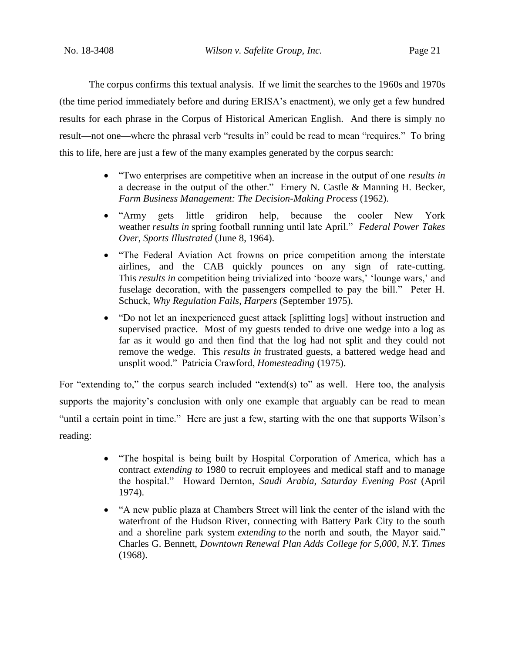The corpus confirms this textual analysis. If we limit the searches to the 1960s and 1970s (the time period immediately before and during ERISA's enactment), we only get a few hundred results for each phrase in the Corpus of Historical American English. And there is simply no result—not one—where the phrasal verb "results in" could be read to mean "requires." To bring this to life, here are just a few of the many examples generated by the corpus search:

- "Two enterprises are competitive when an increase in the output of one *results in* a decrease in the output of the other." Emery N. Castle & Manning H. Becker, *Farm Business Management: The Decision-Making Process* (1962).
- "Army gets little gridiron help, because the cooler New York weather *results in* spring football running until late April." *Federal Power Takes Over*, *Sports Illustrated* (June 8, 1964).
- "The Federal Aviation Act frowns on price competition among the interstate airlines, and the CAB quickly pounces on any sign of rate-cutting. This *results in* competition being trivialized into 'booze wars,' 'lounge wars,' and fuselage decoration, with the passengers compelled to pay the bill." Peter H. Schuck, *Why Regulation Fails*, *Harpers* (September 1975).
- "Do not let an inexperienced guest attack [splitting logs] without instruction and supervised practice. Most of my guests tended to drive one wedge into a log as far as it would go and then find that the log had not split and they could not remove the wedge. This *results in* frustrated guests, a battered wedge head and unsplit wood." Patricia Crawford, *Homesteading* (1975).

For "extending to," the corpus search included "extend(s) to" as well. Here too, the analysis supports the majority's conclusion with only one example that arguably can be read to mean "until a certain point in time." Here are just a few, starting with the one that supports Wilson's reading:

- "The hospital is being built by Hospital Corporation of America, which has a contract *extending to* 1980 to recruit employees and medical staff and to manage the hospital." Howard Dernton, *Saudi Arabia*, *Saturday Evening Post* (April 1974).
- "A new public plaza at Chambers Street will link the center of the island with the waterfront of the Hudson River, connecting with Battery Park City to the south and a shoreline park system *extending to* the north and south, the Mayor said." Charles G. Bennett, *Downtown Renewal Plan Adds College for 5,000*, *N.Y. Times* (1968).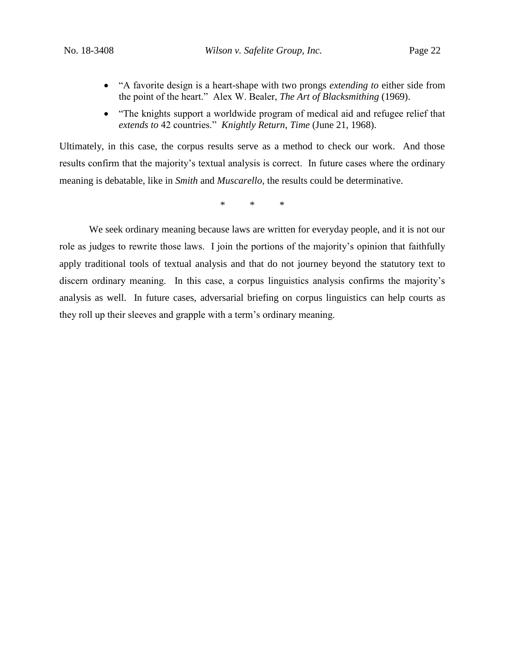- "A favorite design is a heart-shape with two prongs *extending to* either side from the point of the heart." Alex W. Bealer, *The Art of Blacksmithing* (1969).
- "The knights support a worldwide program of medical aid and refugee relief that *extends to* 42 countries." *Knightly Return*, *Time* (June 21, 1968).

Ultimately, in this case, the corpus results serve as a method to check our work. And those results confirm that the majority's textual analysis is correct. In future cases where the ordinary meaning is debatable, like in *Smith* and *Muscarello*, the results could be determinative.

\* \* \*

We seek ordinary meaning because laws are written for everyday people, and it is not our role as judges to rewrite those laws. I join the portions of the majority's opinion that faithfully apply traditional tools of textual analysis and that do not journey beyond the statutory text to discern ordinary meaning. In this case, a corpus linguistics analysis confirms the majority's analysis as well. In future cases, adversarial briefing on corpus linguistics can help courts as they roll up their sleeves and grapple with a term's ordinary meaning.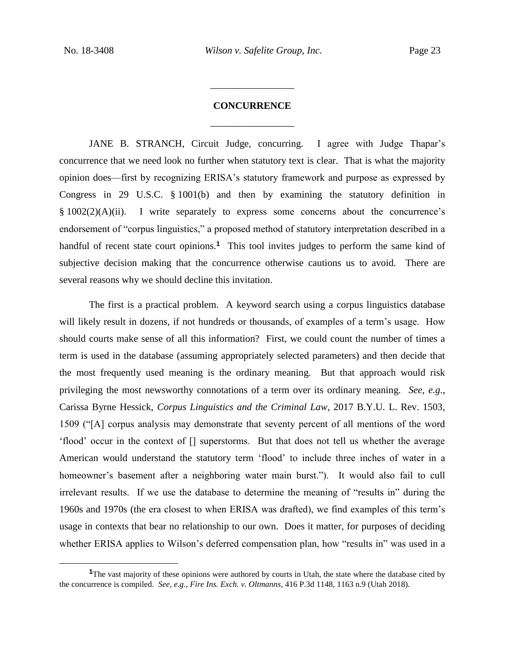$\overline{a}$ 

# **CONCURRENCE** \_\_\_\_\_\_\_\_\_\_\_\_\_\_\_\_\_

\_\_\_\_\_\_\_\_\_\_\_\_\_\_\_\_\_

JANE B. STRANCH, Circuit Judge, concurring.I agree with Judge Thapar's concurrence that we need look no further when statutory text is clear. That is what the majority opinion does—first by recognizing ERISA's statutory framework and purpose as expressed by Congress in 29 U.S.C. § 1001(b) and then by examining the statutory definition in § 1002(2)(A)(ii). I write separately to express some concerns about the concurrence's endorsement of "corpus linguistics," a proposed method of statutory interpretation described in a handful of recent state court opinions.<sup>1</sup> This tool invites judges to perform the same kind of subjective decision making that the concurrence otherwise cautions us to avoid. There are several reasons why we should decline this invitation.

The first is a practical problem. A keyword search using a corpus linguistics database will likely result in dozens, if not hundreds or thousands, of examples of a term's usage. How should courts make sense of all this information? First, we could count the number of times a term is used in the database (assuming appropriately selected parameters) and then decide that the most frequently used meaning is the ordinary meaning. But that approach would risk privileging the most newsworthy connotations of a term over its ordinary meaning. *See, e.g.*, Carissa Byrne Hessick, *Corpus Linguistics and the Criminal Law*, 2017 B.Y.U. L. Rev. 1503, 1509 ("[A] corpus analysis may demonstrate that seventy percent of all mentions of the word 'flood' occur in the context of [] superstorms. But that does not tell us whether the average American would understand the statutory term 'flood' to include three inches of water in a homeowner's basement after a neighboring water main burst."). It would also fail to cull irrelevant results. If we use the database to determine the meaning of "results in" during the 1960s and 1970s (the era closest to when ERISA was drafted), we find examples of this term's usage in contexts that bear no relationship to our own. Does it matter, for purposes of deciding whether ERISA applies to Wilson's deferred compensation plan, how "results in" was used in a

<sup>&</sup>lt;sup>1</sup>The vast majority of these opinions were authored by courts in Utah, the state where the database cited by the concurrence is compiled. *See, e.g.*, *Fire Ins. Exch. v. Oltmanns*, 416 P.3d 1148, 1163 n.9 (Utah 2018).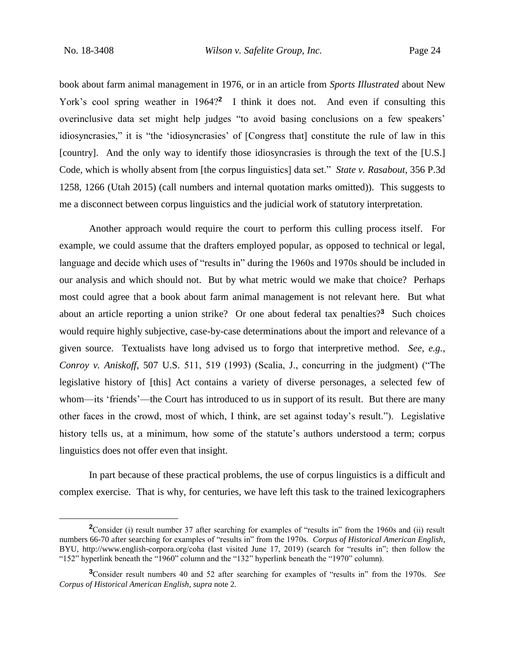$\overline{a}$ 

book about farm animal management in 1976, or in an article from *Sports Illustrated* about New York's cool spring weather in 1964?<sup>2</sup> I think it does not. And even if consulting this overinclusive data set might help judges "to avoid basing conclusions on a few speakers' idiosyncrasies," it is "the 'idiosyncrasies' of [Congress that] constitute the rule of law in this [country]. And the only way to identify those idiosyncrasies is through the text of the [U.S.] Code, which is wholly absent from [the corpus linguistics] data set." *State v. Rasabout*, 356 P.3d 1258, 1266 (Utah 2015) (call numbers and internal quotation marks omitted)). This suggests to me a disconnect between corpus linguistics and the judicial work of statutory interpretation.

Another approach would require the court to perform this culling process itself. For example, we could assume that the drafters employed popular, as opposed to technical or legal, language and decide which uses of "results in" during the 1960s and 1970s should be included in our analysis and which should not. But by what metric would we make that choice? Perhaps most could agree that a book about farm animal management is not relevant here. But what about an article reporting a union strike? Or one about federal tax penalties?**<sup>3</sup>** Such choices would require highly subjective, case-by-case determinations about the import and relevance of a given source. Textualists have long advised us to forgo that interpretive method. *See, e.g.*, *Conroy v. Aniskoff*, 507 U.S. 511, 519 (1993) (Scalia, J., concurring in the judgment) ("The legislative history of [this] Act contains a variety of diverse personages, a selected few of whom—its 'friends'—the Court has introduced to us in support of its result. But there are many other faces in the crowd, most of which, I think, are set against today's result."). Legislative history tells us, at a minimum, how some of the statute's authors understood a term; corpus linguistics does not offer even that insight.

In part because of these practical problems, the use of corpus linguistics is a difficult and complex exercise. That is why, for centuries, we have left this task to the trained lexicographers

<sup>&</sup>lt;sup>2</sup>Consider (i) result number 37 after searching for examples of "results in" from the 1960s and (ii) result numbers 66-70 after searching for examples of "results in" from the 1970s. *Corpus of Historical American English*, BYU, http://www.english-corpora.org/coha (last visited June 17, 2019) (search for "results in"; then follow the "152" hyperlink beneath the "1960" column and the "132" hyperlink beneath the "1970" column).

**<sup>3</sup>**Consider result numbers 40 and 52 after searching for examples of "results in" from the 1970s. *See Corpus of Historical American English*, *supra* note 2.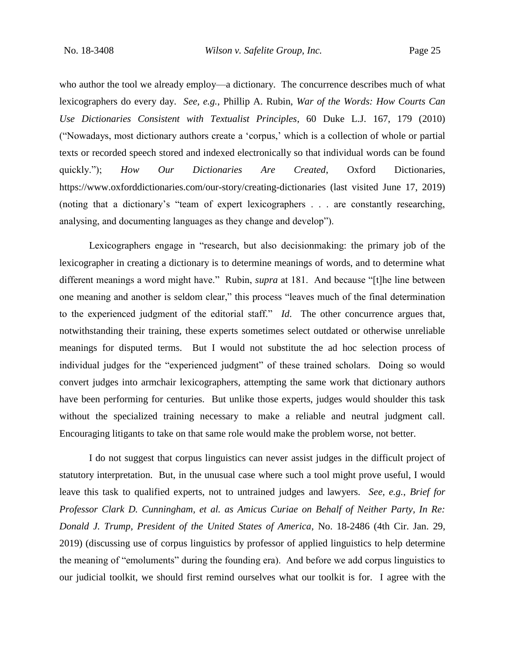who author the tool we already employ—a dictionary. The concurrence describes much of what lexicographers do every day. *See, e.g.*, Phillip A. Rubin, *War of the Words: How Courts Can Use Dictionaries Consistent with Textualist Principles*, 60 Duke L.J. 167, 179 (2010) ("Nowadays, most dictionary authors create a 'corpus,' which is a collection of whole or partial texts or recorded speech stored and indexed electronically so that individual words can be found quickly."); *How Our Dictionaries Are Created*, Oxford Dictionaries, https://www.oxforddictionaries.com/our-story/creating-dictionaries (last visited June 17, 2019) (noting that a dictionary's "team of expert lexicographers . . . are constantly researching, analysing, and documenting languages as they change and develop").

Lexicographers engage in "research, but also decisionmaking: the primary job of the lexicographer in creating a dictionary is to determine meanings of words, and to determine what different meanings a word might have." Rubin, *supra* at 181. And because "[t]he line between one meaning and another is seldom clear," this process "leaves much of the final determination to the experienced judgment of the editorial staff." *Id*. The other concurrence argues that, notwithstanding their training, these experts sometimes select outdated or otherwise unreliable meanings for disputed terms. But I would not substitute the ad hoc selection process of individual judges for the "experienced judgment" of these trained scholars. Doing so would convert judges into armchair lexicographers, attempting the same work that dictionary authors have been performing for centuries. But unlike those experts, judges would shoulder this task without the specialized training necessary to make a reliable and neutral judgment call. Encouraging litigants to take on that same role would make the problem worse, not better.

I do not suggest that corpus linguistics can never assist judges in the difficult project of statutory interpretation. But, in the unusual case where such a tool might prove useful, I would leave this task to qualified experts, not to untrained judges and lawyers. *See, e.g.*, *Brief for Professor Clark D. Cunningham, et al. as Amicus Curiae on Behalf of Neither Party, In Re: Donald J. Trump, President of the United States of America*, No. 18-2486 (4th Cir. Jan. 29, 2019) (discussing use of corpus linguistics by professor of applied linguistics to help determine the meaning of "emoluments" during the founding era). And before we add corpus linguistics to our judicial toolkit, we should first remind ourselves what our toolkit is for. I agree with the